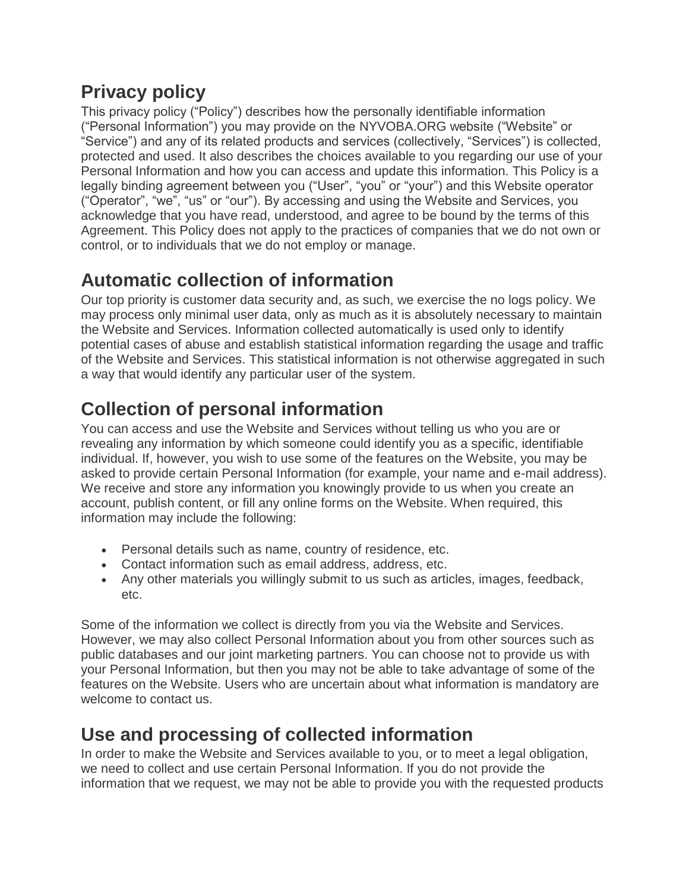## **Privacy policy**

This privacy policy ("Policy") describes how the personally identifiable information ("Personal Information") you may provide on the NYVOBA.ORG website ("Website" or "Service") and any of its related products and services (collectively, "Services") is collected, protected and used. It also describes the choices available to you regarding our use of your Personal Information and how you can access and update this information. This Policy is a legally binding agreement between you ("User", "you" or "your") and this Website operator ("Operator", "we", "us" or "our"). By accessing and using the Website and Services, you acknowledge that you have read, understood, and agree to be bound by the terms of this Agreement. This Policy does not apply to the practices of companies that we do not own or control, or to individuals that we do not employ or manage.

## **Automatic collection of information**

Our top priority is customer data security and, as such, we exercise the no logs policy. We may process only minimal user data, only as much as it is absolutely necessary to maintain the Website and Services. Information collected automatically is used only to identify potential cases of abuse and establish statistical information regarding the usage and traffic of the Website and Services. This statistical information is not otherwise aggregated in such a way that would identify any particular user of the system.

# **Collection of personal information**

You can access and use the Website and Services without telling us who you are or revealing any information by which someone could identify you as a specific, identifiable individual. If, however, you wish to use some of the features on the Website, you may be asked to provide certain Personal Information (for example, your name and e-mail address). We receive and store any information you knowingly provide to us when you create an account, publish content, or fill any online forms on the Website. When required, this information may include the following:

- Personal details such as name, country of residence, etc.
- Contact information such as email address, address, etc.
- Any other materials you willingly submit to us such as articles, images, feedback, etc.

Some of the information we collect is directly from you via the Website and Services. However, we may also collect Personal Information about you from other sources such as public databases and our joint marketing partners. You can choose not to provide us with your Personal Information, but then you may not be able to take advantage of some of the features on the Website. Users who are uncertain about what information is mandatory are welcome to contact us.

## **Use and processing of collected information**

In order to make the Website and Services available to you, or to meet a legal obligation, we need to collect and use certain Personal Information. If you do not provide the information that we request, we may not be able to provide you with the requested products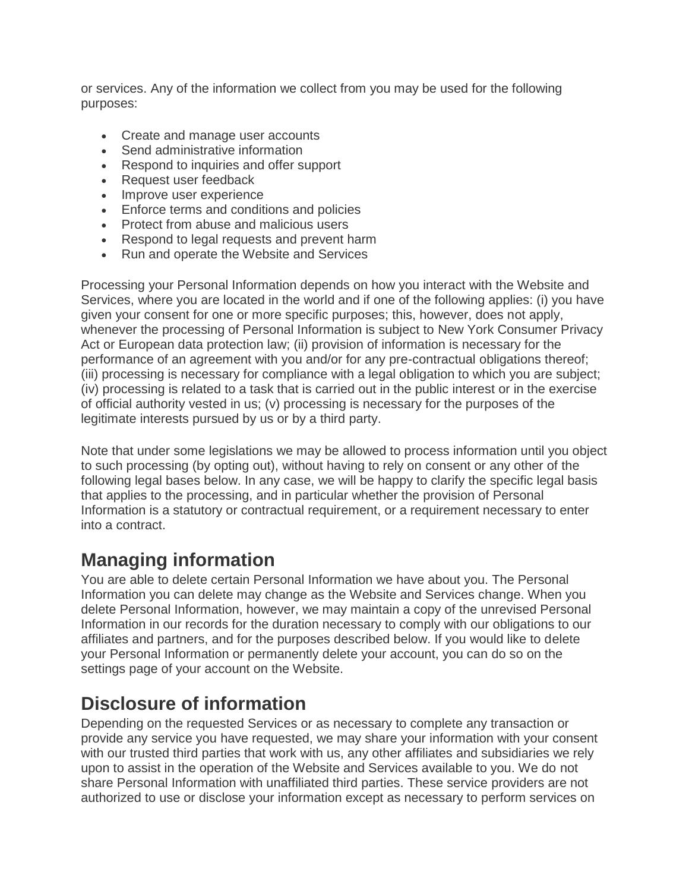or services. Any of the information we collect from you may be used for the following purposes:

- Create and manage user accounts
- Send administrative information
- Respond to inquiries and offer support
- Request user feedback
- Improve user experience
- Enforce terms and conditions and policies
- Protect from abuse and malicious users
- Respond to legal requests and prevent harm
- Run and operate the Website and Services

Processing your Personal Information depends on how you interact with the Website and Services, where you are located in the world and if one of the following applies: (i) you have given your consent for one or more specific purposes; this, however, does not apply, whenever the processing of Personal Information is subject to New York Consumer Privacy Act or European data protection law; (ii) provision of information is necessary for the performance of an agreement with you and/or for any pre-contractual obligations thereof; (iii) processing is necessary for compliance with a legal obligation to which you are subject; (iv) processing is related to a task that is carried out in the public interest or in the exercise of official authority vested in us; (v) processing is necessary for the purposes of the legitimate interests pursued by us or by a third party.

Note that under some legislations we may be allowed to process information until you object to such processing (by opting out), without having to rely on consent or any other of the following legal bases below. In any case, we will be happy to clarify the specific legal basis that applies to the processing, and in particular whether the provision of Personal Information is a statutory or contractual requirement, or a requirement necessary to enter into a contract.

#### **Managing information**

You are able to delete certain Personal Information we have about you. The Personal Information you can delete may change as the Website and Services change. When you delete Personal Information, however, we may maintain a copy of the unrevised Personal Information in our records for the duration necessary to comply with our obligations to our affiliates and partners, and for the purposes described below. If you would like to delete your Personal Information or permanently delete your account, you can do so on the settings page of your account on the Website.

#### **Disclosure of information**

Depending on the requested Services or as necessary to complete any transaction or provide any service you have requested, we may share your information with your consent with our trusted third parties that work with us, any other affiliates and subsidiaries we rely upon to assist in the operation of the Website and Services available to you. We do not share Personal Information with unaffiliated third parties. These service providers are not authorized to use or disclose your information except as necessary to perform services on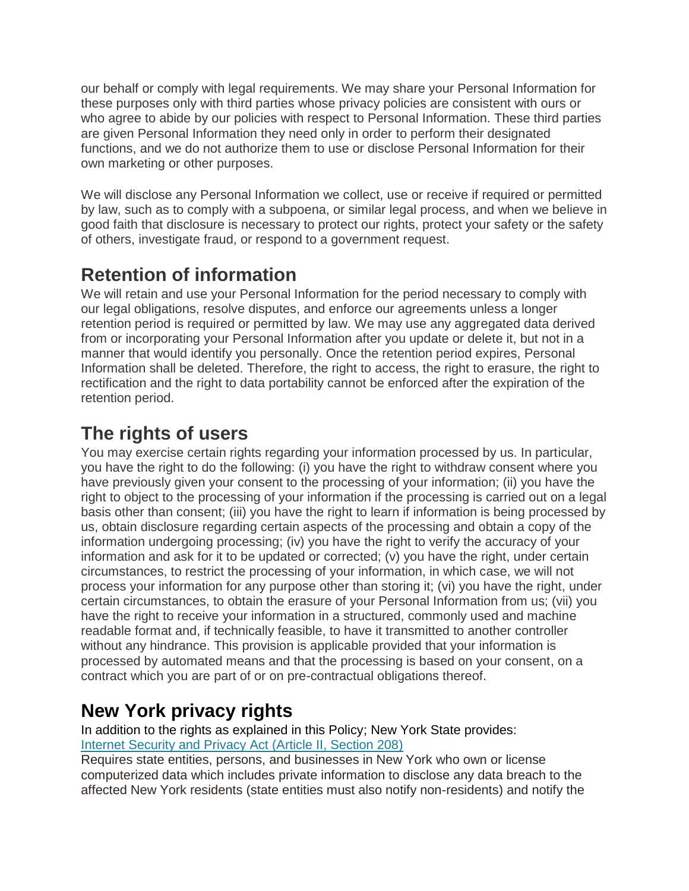our behalf or comply with legal requirements. We may share your Personal Information for these purposes only with third parties whose privacy policies are consistent with ours or who agree to abide by our policies with respect to Personal Information. These third parties are given Personal Information they need only in order to perform their designated functions, and we do not authorize them to use or disclose Personal Information for their own marketing or other purposes.

We will disclose any Personal Information we collect, use or receive if required or permitted by law, such as to comply with a subpoena, or similar legal process, and when we believe in good faith that disclosure is necessary to protect our rights, protect your safety or the safety of others, investigate fraud, or respond to a government request.

### **Retention of information**

We will retain and use your Personal Information for the period necessary to comply with our legal obligations, resolve disputes, and enforce our agreements unless a longer retention period is required or permitted by law. We may use any aggregated data derived from or incorporating your Personal Information after you update or delete it, but not in a manner that would identify you personally. Once the retention period expires, Personal Information shall be deleted. Therefore, the right to access, the right to erasure, the right to rectification and the right to data portability cannot be enforced after the expiration of the retention period.

### **The rights of users**

You may exercise certain rights regarding your information processed by us. In particular, you have the right to do the following: (i) you have the right to withdraw consent where you have previously given your consent to the processing of your information; (ii) you have the right to object to the processing of your information if the processing is carried out on a legal basis other than consent; (iii) you have the right to learn if information is being processed by us, obtain disclosure regarding certain aspects of the processing and obtain a copy of the information undergoing processing; (iv) you have the right to verify the accuracy of your information and ask for it to be updated or corrected; (v) you have the right, under certain circumstances, to restrict the processing of your information, in which case, we will not process your information for any purpose other than storing it; (vi) you have the right, under certain circumstances, to obtain the erasure of your Personal Information from us; (vii) you have the right to receive your information in a structured, commonly used and machine readable format and, if technically feasible, to have it transmitted to another controller without any hindrance. This provision is applicable provided that your information is processed by automated means and that the processing is based on your consent, on a contract which you are part of or on pre-contractual obligations thereof.

### **New York privacy rights**

In addition to the rights as explained in this Policy; New York State provides: [Internet Security and Privacy Act \(Article II, Section 208\)](http://public.leginfo.state.ny.us/menugetf.cgi?COMMONQUERY=LAWS)

Requires state entities, persons, and businesses in New York who own or license computerized data which includes private information to disclose any data breach to the affected New York residents (state entities must also notify non-residents) and notify the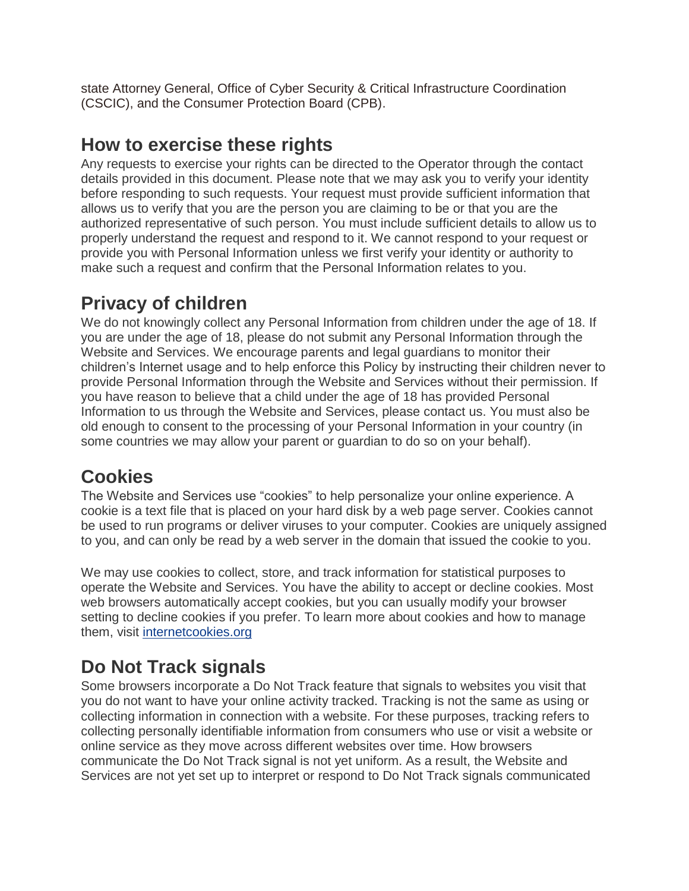state Attorney General, Office of Cyber Security & Critical Infrastructure Coordination (CSCIC), and the Consumer Protection Board (CPB).

#### **How to exercise these rights**

Any requests to exercise your rights can be directed to the Operator through the contact details provided in this document. Please note that we may ask you to verify your identity before responding to such requests. Your request must provide sufficient information that allows us to verify that you are the person you are claiming to be or that you are the authorized representative of such person. You must include sufficient details to allow us to properly understand the request and respond to it. We cannot respond to your request or provide you with Personal Information unless we first verify your identity or authority to make such a request and confirm that the Personal Information relates to you.

## **Privacy of children**

We do not knowingly collect any Personal Information from children under the age of 18. If you are under the age of 18, please do not submit any Personal Information through the Website and Services. We encourage parents and legal guardians to monitor their children's Internet usage and to help enforce this Policy by instructing their children never to provide Personal Information through the Website and Services without their permission. If you have reason to believe that a child under the age of 18 has provided Personal Information to us through the Website and Services, please contact us. You must also be old enough to consent to the processing of your Personal Information in your country (in some countries we may allow your parent or guardian to do so on your behalf).

### **Cookies**

The Website and Services use "cookies" to help personalize your online experience. A cookie is a text file that is placed on your hard disk by a web page server. Cookies cannot be used to run programs or deliver viruses to your computer. Cookies are uniquely assigned to you, and can only be read by a web server in the domain that issued the cookie to you.

We may use cookies to collect, store, and track information for statistical purposes to operate the Website and Services. You have the ability to accept or decline cookies. Most web browsers automatically accept cookies, but you can usually modify your browser setting to decline cookies if you prefer. To learn more about cookies and how to manage them, visit [internetcookies.org](https://www.internetcookies.org/)

## **Do Not Track signals**

Some browsers incorporate a Do Not Track feature that signals to websites you visit that you do not want to have your online activity tracked. Tracking is not the same as using or collecting information in connection with a website. For these purposes, tracking refers to collecting personally identifiable information from consumers who use or visit a website or online service as they move across different websites over time. How browsers communicate the Do Not Track signal is not yet uniform. As a result, the Website and Services are not yet set up to interpret or respond to Do Not Track signals communicated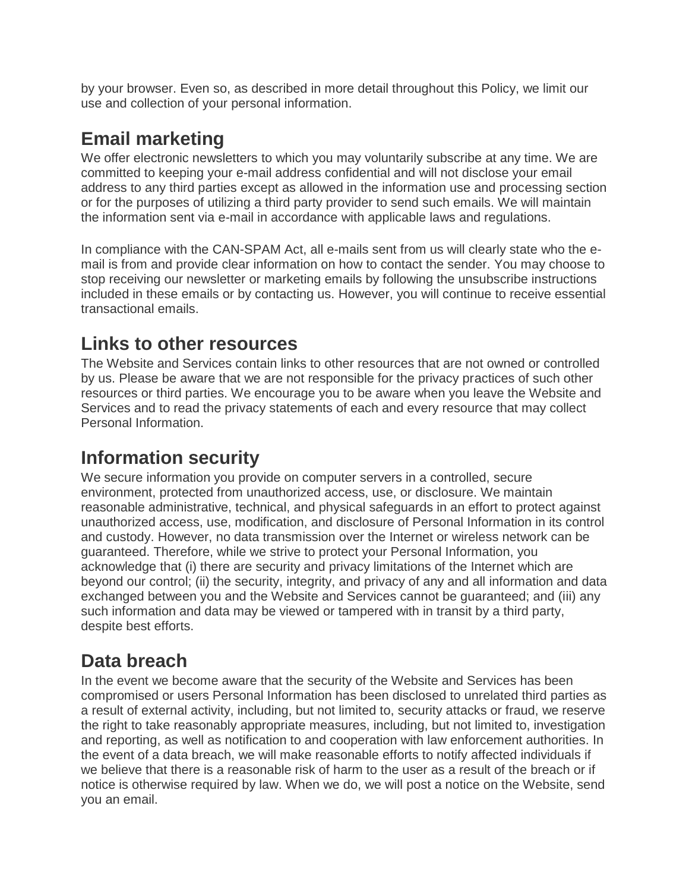by your browser. Even so, as described in more detail throughout this Policy, we limit our use and collection of your personal information.

### **Email marketing**

We offer electronic newsletters to which you may voluntarily subscribe at any time. We are committed to keeping your e-mail address confidential and will not disclose your email address to any third parties except as allowed in the information use and processing section or for the purposes of utilizing a third party provider to send such emails. We will maintain the information sent via e-mail in accordance with applicable laws and regulations.

In compliance with the CAN-SPAM Act, all e-mails sent from us will clearly state who the email is from and provide clear information on how to contact the sender. You may choose to stop receiving our newsletter or marketing emails by following the unsubscribe instructions included in these emails or by contacting us. However, you will continue to receive essential transactional emails.

### **Links to other resources**

The Website and Services contain links to other resources that are not owned or controlled by us. Please be aware that we are not responsible for the privacy practices of such other resources or third parties. We encourage you to be aware when you leave the Website and Services and to read the privacy statements of each and every resource that may collect Personal Information.

### **Information security**

We secure information you provide on computer servers in a controlled, secure environment, protected from unauthorized access, use, or disclosure. We maintain reasonable administrative, technical, and physical safeguards in an effort to protect against unauthorized access, use, modification, and disclosure of Personal Information in its control and custody. However, no data transmission over the Internet or wireless network can be guaranteed. Therefore, while we strive to protect your Personal Information, you acknowledge that (i) there are security and privacy limitations of the Internet which are beyond our control; (ii) the security, integrity, and privacy of any and all information and data exchanged between you and the Website and Services cannot be guaranteed; and (iii) any such information and data may be viewed or tampered with in transit by a third party, despite best efforts.

### **Data breach**

In the event we become aware that the security of the Website and Services has been compromised or users Personal Information has been disclosed to unrelated third parties as a result of external activity, including, but not limited to, security attacks or fraud, we reserve the right to take reasonably appropriate measures, including, but not limited to, investigation and reporting, as well as notification to and cooperation with law enforcement authorities. In the event of a data breach, we will make reasonable efforts to notify affected individuals if we believe that there is a reasonable risk of harm to the user as a result of the breach or if notice is otherwise required by law. When we do, we will post a notice on the Website, send you an email.